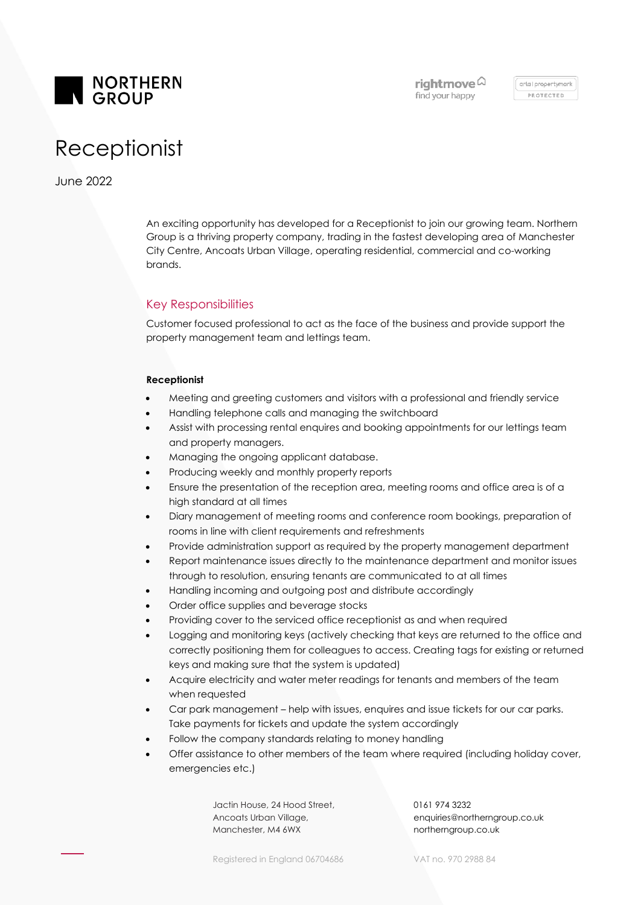

arla I propertymark PROTECTED

# Receptionist

June 2022

An exciting opportunity has developed for a Receptionist to join our growing team. Northern Group is a thriving property company, trading in the fastest developing area of Manchester City Centre, Ancoats Urban Village, operating residential, commercial and co-working brands.

# Key Responsibilities

Customer focused professional to act as the face of the business and provide support the property management team and lettings team.

### **Receptionist**

- Meeting and greeting customers and visitors with a professional and friendly service
- Handling telephone calls and managing the switchboard
- Assist with processing rental enquires and booking appointments for our lettings team and property managers.
- Managing the ongoing applicant database.
- Producing weekly and monthly property reports
- Ensure the presentation of the reception area, meeting rooms and office area is of a high standard at all times
- Diary management of meeting rooms and conference room bookings, preparation of rooms in line with client requirements and refreshments
- Provide administration support as required by the property management department
- Report maintenance issues directly to the maintenance department and monitor issues through to resolution, ensuring tenants are communicated to at all times
- Handling incoming and outgoing post and distribute accordingly
- Order office supplies and beverage stocks
- Providing cover to the serviced office receptionist as and when required
- Logging and monitoring keys (actively checking that keys are returned to the office and correctly positioning them for colleagues to access. Creating tags for existing or returned keys and making sure that the system is updated)
- Acquire electricity and water meter readings for tenants and members of the team when requested
- Car park management help with issues, enquires and issue tickets for our car parks. Take payments for tickets and update the system accordingly
- Follow the company standards relating to money handling
- Offer assistance to other members of the team where required (including holiday cover, emergencies etc.)

Jactin House, 24 Hood Street, Ancoats Urban Village, Manchester, M4 6WX

0161 974 3232 enquiries@northerngroup.co.uk northerngroup.co.uk